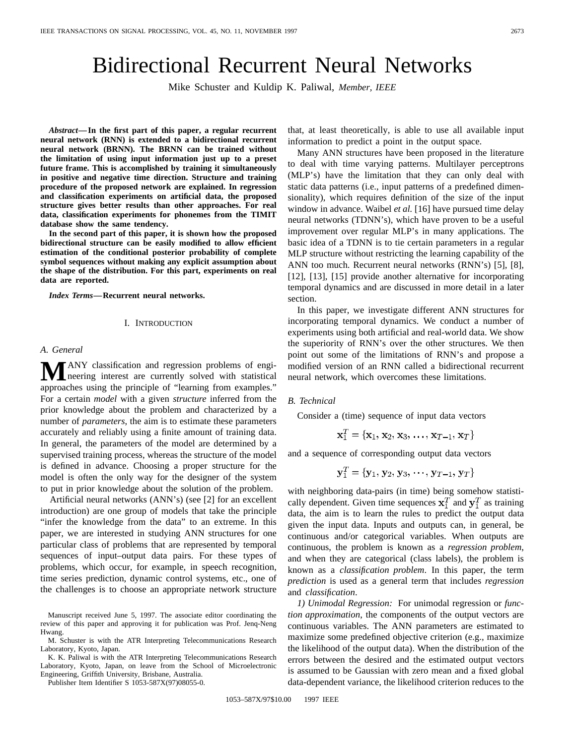# Bidirectional Recurrent Neural Networks

Mike Schuster and Kuldip K. Paliwal, *Member, IEEE*

*Abstract—***In the first part of this paper, a regular recurrent neural network (RNN) is extended to a bidirectional recurrent neural network (BRNN). The BRNN can be trained without the limitation of using input information just up to a preset future frame. This is accomplished by training it simultaneously in positive and negative time direction. Structure and training procedure of the proposed network are explained. In regression and classification experiments on artificial data, the proposed structure gives better results than other approaches. For real data, classification experiments for phonemes from the TIMIT database show the same tendency.**

**In the second part of this paper, it is shown how the proposed bidirectional structure can be easily modified to allow efficient estimation of the conditional posterior probability of complete symbol sequences without making any explicit assumption about the shape of the distribution. For this part, experiments on real data are reported.**

*Index Terms—***Recurrent neural networks.**

### I. INTRODUCTION

# *A. General*

**M**ANY classification and regression problems of engineering interest are currently solved with statistical approaches using the principle of "learning from examples." For a certain *model* with a given *structure* inferred from the prior knowledge about the problem and characterized by a number of *parameters*, the aim is to estimate these parameters accurately and reliably using a finite amount of training data. In general, the parameters of the model are determined by a supervised training process, whereas the structure of the model is defined in advance. Choosing a proper structure for the model is often the only way for the designer of the system to put in prior knowledge about the solution of the problem.

Artificial neural networks (ANN's) (see [2] for an excellent introduction) are one group of models that take the principle "infer the knowledge from the data" to an extreme. In this paper, we are interested in studying ANN structures for one particular class of problems that are represented by temporal sequences of input–output data pairs. For these types of problems, which occur, for example, in speech recognition, time series prediction, dynamic control systems, etc., one of the challenges is to choose an appropriate network structure

K. K. Paliwal is with the ATR Interpreting Telecommunications Research Laboratory, Kyoto, Japan, on leave from the School of Microelectronic Engineering, Griffith University, Brisbane, Australia.

Publisher Item Identifier S 1053-587X(97)08055-0.

that, at least theoretically, is able to use all available input information to predict a point in the output space.

Many ANN structures have been proposed in the literature to deal with time varying patterns. Multilayer perceptrons (MLP's) have the limitation that they can only deal with static data patterns (i.e., input patterns of a predefined dimensionality), which requires definition of the size of the input window in advance. Waibel *et al.* [16] have pursued time delay neural networks (TDNN's), which have proven to be a useful improvement over regular MLP's in many applications. The basic idea of a TDNN is to tie certain parameters in a regular MLP structure without restricting the learning capability of the ANN too much. Recurrent neural networks (RNN's) [5], [8], [12], [13], [15] provide another alternative for incorporating temporal dynamics and are discussed in more detail in a later section.

In this paper, we investigate different ANN structures for incorporating temporal dynamics. We conduct a number of experiments using both artificial and real-world data. We show the superiority of RNN's over the other structures. We then point out some of the limitations of RNN's and propose a modified version of an RNN called a bidirectional recurrent neural network, which overcomes these limitations.

# *B. Technical*

Consider a (time) sequence of input data vectors

$$
\mathbf{x}_1^T = \{ \mathbf{x}_1, \, \mathbf{x}_2, \, \mathbf{x}_3, \, \ldots, \, \mathbf{x}_{T-1}, \, \mathbf{x}_T \}
$$

and a sequence of corresponding output data vectors

$$
\mathbf{y}_1^T = \{\mathbf{y}_1, \, \mathbf{y}_2, \, \mathbf{y}_3, \, \cdots, \, \mathbf{y}_{T-1}, \, \mathbf{y}_T\}
$$

with neighboring data-pairs (in time) being somehow statistically dependent. Given time sequences  $x_1^T$  and  $y_1^T$  as training data, the aim is to learn the rules to predict the output data given the input data. Inputs and outputs can, in general, be continuous and/or categorical variables. When outputs are continuous, the problem is known as a *regression problem*, and when they are categorical (class labels), the problem is known as a *classification problem*. In this paper, the term *prediction* is used as a general term that includes *regression* and *classification*.

*1) Unimodal Regression:* For unimodal regression or *function approximation*, the components of the output vectors are continuous variables. The ANN parameters are estimated to maximize some predefined objective criterion (e.g., maximize the likelihood of the output data). When the distribution of the errors between the desired and the estimated output vectors is assumed to be Gaussian with zero mean and a fixed global data-dependent variance, the likelihood criterion reduces to the

Manuscript received June 5, 1997. The associate editor coordinating the review of this paper and approving it for publication was Prof. Jenq-Neng Hwang.

M. Schuster is with the ATR Interpreting Telecommunications Research Laboratory, Kyoto, Japan.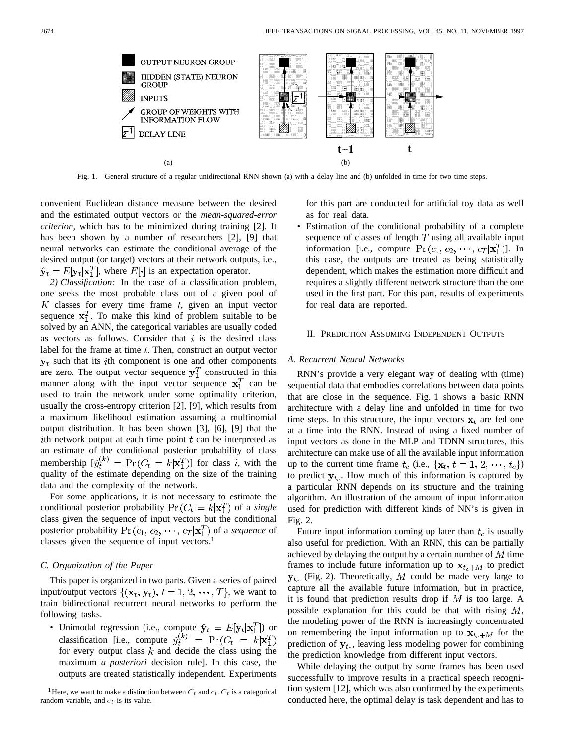

Fig. 1. General structure of a regular unidirectional RNN shown (a) with a delay line and (b) unfolded in time for two time steps.

convenient Euclidean distance measure between the desired and the estimated output vectors or the *mean-squared-error criterion*, which has to be minimized during training [2]. It has been shown by a number of researchers [2], [9] that neural networks can estimate the conditional average of the desired output (or target) vectors at their network outputs, i.e.,  $\hat{\mathbf{y}}_t = E[\mathbf{y}_t | \mathbf{x}_1^T]$ , where  $E[\cdot]$  is an expectation operator.

*2) Classification:* In the case of a classification problem, one seeks the most probable class out of a given pool of  $K$  classes for every time frame  $t$ , given an input vector sequence  $x_1^T$ . To make this kind of problem suitable to be solved by an ANN, the categorical variables are usually coded as vectors as follows. Consider that  $i$  is the desired class label for the frame at time  $t$ . Then, construct an output vector  $y_t$  such that its *i*th component is one and other components are zero. The output vector sequence  $y_1^T$  constructed in this manner along with the input vector sequence  $x_1^T$  can be used to train the network under some optimality criterion, usually the cross-entropy criterion [2], [9], which results from a maximum likelihood estimation assuming a multinomial output distribution. It has been shown [3], [6], [9] that the ith network output at each time point  $t$  can be interpreted as an estimate of the conditional posterior probability of class membership  $[\hat{y}_t^{(k)}] = \Pr(C_t = k | \mathbf{x}_1^T)]$  for class i, with the quality of the estimate depending on the size of the training data and the complexity of the network.

For some applications, it is not necessary to estimate the conditional posterior probability  $Pr(C_t = k | \mathbf{x}_1^T)$  of a *single* class given the sequence of input vectors but the conditional posterior probability  $Pr(c_1, c_2, \dots, c_T | \mathbf{x}_1^T)$  of a *sequence* of classes given the sequence of input vectors.<sup>1</sup>

# *C. Organization of the Paper*

This paper is organized in two parts. Given a series of paired input/output vectors  $\{(\mathbf{x}_t, \mathbf{y}_t), t = 1, 2, \cdots, T\}$ , we want to train bidirectional recurrent neural networks to perform the following tasks.

• Unimodal regression (i.e., compute  $\hat{\mathbf{y}}_t = E[\mathbf{y}_t|\mathbf{x}_1^T]$ ) or classification [i.e., compute for every output class  $k$  and decide the class using the maximum *a posteriori* decision rule]. In this case, the outputs are treated statistically independent. Experiments for this part are conducted for artificial toy data as well as for real data.

• Estimation of the conditional probability of a complete sequence of classes of length  $T$  using all available input information [i.e., compute  $\Pr(c_1, c_2, \dots, c_T | \mathbf{x}_1^T)$ ]. In this case, the outputs are treated as being statistically dependent, which makes the estimation more difficult and requires a slightly different network structure than the one used in the first part. For this part, results of experiments for real data are reported.

#### II. PREDICTION ASSUMING INDEPENDENT OUTPUTS

#### *A. Recurrent Neural Networks*

RNN's provide a very elegant way of dealing with (time) sequential data that embodies correlations between data points that are close in the sequence. Fig. 1 shows a basic RNN architecture with a delay line and unfolded in time for two time steps. In this structure, the input vectors  $x_t$  are fed one at a time into the RNN. Instead of using a fixed number of input vectors as done in the MLP and TDNN structures, this architecture can make use of all the available input information up to the current time frame  $t_c$  (i.e.,  $\{x_t, t = 1, 2, \dots, t_c\}$ ) to predict  $y_{t_c}$ . How much of this information is captured by a particular RNN depends on its structure and the training algorithm. An illustration of the amount of input information used for prediction with different kinds of NN's is given in Fig. 2.

Future input information coming up later than  $t_c$  is usually also useful for prediction. With an RNN, this can be partially achieved by delaying the output by a certain number of  $M$  time frames to include future information up to  $x_{t-1}$  to predict  $y_{t_c}$  (Fig. 2). Theoretically, M could be made very large to capture all the available future information, but in practice, it is found that prediction results drop if  $M$  is too large. A possible explanation for this could be that with rising  $M$ , the modeling power of the RNN is increasingly concentrated on remembering the input information up to  $x_{t}$ , for the prediction of  $y_{t_0}$ , leaving less modeling power for combining the prediction knowledge from different input vectors.

While delaying the output by some frames has been used successfully to improve results in a practical speech recognition system [12], which was also confirmed by the experiments conducted here, the optimal delay is task dependent and has to

<sup>&</sup>lt;sup>1</sup> Here, we want to make a distinction between  $C_t$  and  $c_t$ .  $C_t$  is a categorical random variable, and  $c_t$  is its value.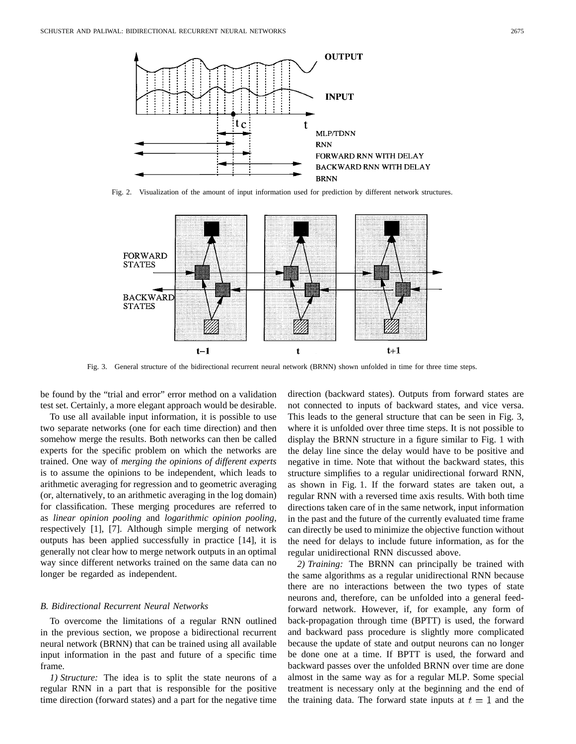

Fig. 2. Visualization of the amount of input information used for prediction by different network structures.



Fig. 3. General structure of the bidirectional recurrent neural network (BRNN) shown unfolded in time for three time steps.

be found by the "trial and error" error method on a validation test set. Certainly, a more elegant approach would be desirable.

To use all available input information, it is possible to use two separate networks (one for each time direction) and then somehow merge the results. Both networks can then be called experts for the specific problem on which the networks are trained. One way of *merging the opinions of different experts* is to assume the opinions to be independent, which leads to arithmetic averaging for regression and to geometric averaging (or, alternatively, to an arithmetic averaging in the log domain) for classification. These merging procedures are referred to as *linear opinion pooling* and *logarithmic opinion pooling*, respectively [1], [7]. Although simple merging of network outputs has been applied successfully in practice [14], it is generally not clear how to merge network outputs in an optimal way since different networks trained on the same data can no longer be regarded as independent.

# *B. Bidirectional Recurrent Neural Networks*

To overcome the limitations of a regular RNN outlined in the previous section, we propose a bidirectional recurrent neural network (BRNN) that can be trained using all available input information in the past and future of a specific time frame.

*1) Structure:* The idea is to split the state neurons of a regular RNN in a part that is responsible for the positive time direction (forward states) and a part for the negative time direction (backward states). Outputs from forward states are not connected to inputs of backward states, and vice versa. This leads to the general structure that can be seen in Fig. 3, where it is unfolded over three time steps. It is not possible to display the BRNN structure in a figure similar to Fig. 1 with the delay line since the delay would have to be positive and negative in time. Note that without the backward states, this structure simplifies to a regular unidirectional forward RNN, as shown in Fig. 1. If the forward states are taken out, a regular RNN with a reversed time axis results. With both time directions taken care of in the same network, input information in the past and the future of the currently evaluated time frame can directly be used to minimize the objective function without the need for delays to include future information, as for the regular unidirectional RNN discussed above.

*2) Training:* The BRNN can principally be trained with the same algorithms as a regular unidirectional RNN because there are no interactions between the two types of state neurons and, therefore, can be unfolded into a general feedforward network. However, if, for example, any form of back-propagation through time (BPTT) is used, the forward and backward pass procedure is slightly more complicated because the update of state and output neurons can no longer be done one at a time. If BPTT is used, the forward and backward passes over the unfolded BRNN over time are done almost in the same way as for a regular MLP. Some special treatment is necessary only at the beginning and the end of the training data. The forward state inputs at  $t = 1$  and the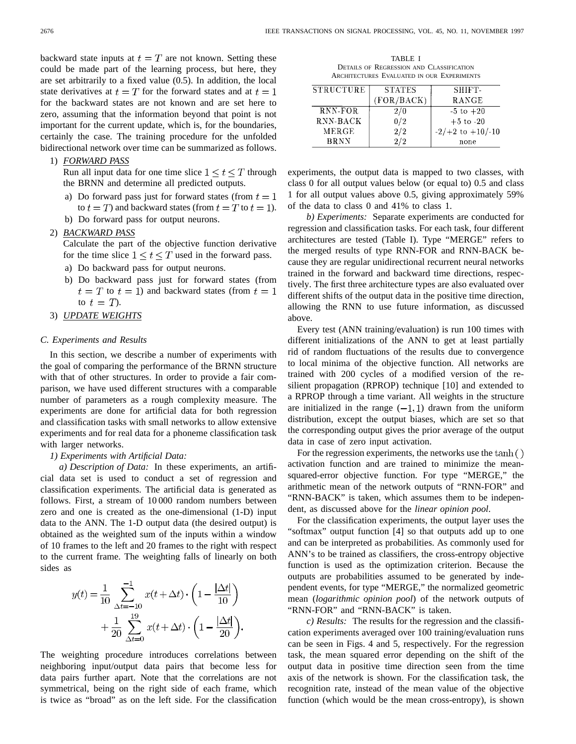backward state inputs at  $t = T$  are not known. Setting these could be made part of the learning process, but here, they are set arbitrarily to a fixed value (0.5). In addition, the local state derivatives at  $t=T$  for the forward states and at  $t=1$ for the backward states are not known and are set here to zero, assuming that the information beyond that point is not important for the current update, which is, for the boundaries, certainly the case. The training procedure for the unfolded bidirectional network over time can be summarized as follows.

# 1) *FORWARD PASS*

Run all input data for one time slice  $1 \le t \le T$  through the BRNN and determine all predicted outputs.

- a) Do forward pass just for forward states (from  $t = 1$ to  $t = T$ ) and backward states (from  $t = T$  to  $t = 1$ ).
- b) Do forward pass for output neurons.
- 2) *BACKWARD PASS*
	- Calculate the part of the objective function derivative for the time slice  $1 \le t \le T$  used in the forward pass.
	- a) Do backward pass for output neurons.
	- b) Do backward pass just for forward states (from  $t = T$  to  $t = 1$ ) and backward states (from  $t = 1$ ) to  $t=T$ ).
- 3) *UPDATE WEIGHTS*

# *C. Experiments and Results*

In this section, we describe a number of experiments with the goal of comparing the performance of the BRNN structure with that of other structures. In order to provide a fair comparison, we have used different structures with a comparable number of parameters as a rough complexity measure. The experiments are done for artificial data for both regression and classification tasks with small networks to allow extensive experiments and for real data for a phoneme classification task with larger networks.

*1) Experiments with Artificial Data:*

*a) Description of Data:* In these experiments, an artificial data set is used to conduct a set of regression and classification experiments. The artificial data is generated as follows. First, a stream of 10 000 random numbers between zero and one is created as the one-dimensional (1-D) input data to the ANN. The 1-D output data (the desired output) is obtained as the weighted sum of the inputs within a window of 10 frames to the left and 20 frames to the right with respect to the current frame. The weighting falls of linearly on both sides as

$$
y(t) = \frac{1}{10} \sum_{\Delta t = -10}^{-1} x(t + \Delta t) \cdot \left(1 - \frac{|\Delta t|}{10}\right) + \frac{1}{20} \sum_{\Delta t = 0}^{19} x(t + \Delta t) \cdot \left(1 - \frac{|\Delta t|}{20}\right).
$$

The weighting procedure introduces correlations between neighboring input/output data pairs that become less for data pairs further apart. Note that the correlations are not symmetrical, being on the right side of each frame, which is twice as "broad" as on the left side. For the classification

TABLE I DETAILS OF REGRESSION AND CLASSIFICATION ARCHITECTURES EVALUATED IN OUR EXPERIMENTS

| <b>STRUCTURE</b> | <b>STATES</b> | SHIFT-               |
|------------------|---------------|----------------------|
|                  | (FOR/BACK)    | RANGE                |
| RNN-FOR          | 2/0           | $-5$ to $+20$        |
| RNN-BACK         | 0/2           | $+5$ to $-20$        |
| <b>MERGE</b>     | 2/2           | $-2/+2$ to $+10/-10$ |
| <b>BRNN</b>      | 2/2           | none                 |

experiments, the output data is mapped to two classes, with class 0 for all output values below (or equal to) 0.5 and class 1 for all output values above 0.5, giving approximately 59% of the data to class 0 and 41% to class 1.

*b) Experiments:* Separate experiments are conducted for regression and classification tasks. For each task, four different architectures are tested (Table I). Type "MERGE" refers to the merged results of type RNN-FOR and RNN-BACK because they are regular unidirectional recurrent neural networks trained in the forward and backward time directions, respectively. The first three architecture types are also evaluated over different shifts of the output data in the positive time direction, allowing the RNN to use future information, as discussed above.

Every test (ANN training/evaluation) is run 100 times with different initializations of the ANN to get at least partially rid of random fluctuations of the results due to convergence to local minima of the objective function. All networks are trained with 200 cycles of a modified version of the resilient propagation (RPROP) technique [10] and extended to a RPROP through a time variant. All weights in the structure are initialized in the range  $(-1, 1)$  drawn from the uniform distribution, except the output biases, which are set so that the corresponding output gives the prior average of the output data in case of zero input activation.

For the regression experiments, the networks use the  $tanh()$ activation function and are trained to minimize the meansquared-error objective function. For type "MERGE," the arithmetic mean of the network outputs of "RNN-FOR" and "RNN-BACK" is taken, which assumes them to be independent, as discussed above for the *linear opinion pool*.

For the classification experiments, the output layer uses the "softmax" output function [4] so that outputs add up to one and can be interpreted as probabilities. As commonly used for ANN's to be trained as classifiers, the cross-entropy objective function is used as the optimization criterion. Because the outputs are probabilities assumed to be generated by independent events, for type "MERGE," the normalized geometric mean (*logarithmic opinion pool*) of the network outputs of "RNN-FOR" and "RNN-BACK" is taken.

*c) Results:* The results for the regression and the classification experiments averaged over 100 training/evaluation runs can be seen in Figs. 4 and 5, respectively. For the regression task, the mean squared error depending on the shift of the output data in positive time direction seen from the time axis of the network is shown. For the classification task, the recognition rate, instead of the mean value of the objective function (which would be the mean cross-entropy), is shown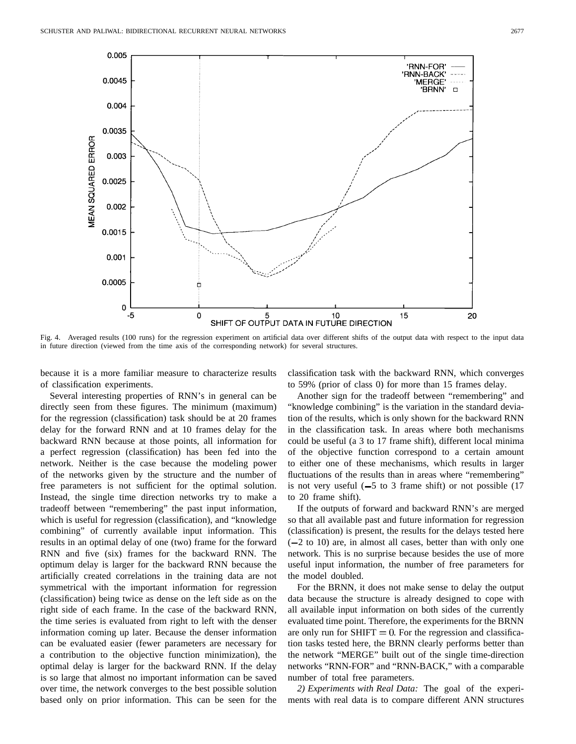

Fig. 4. Averaged results (100 runs) for the regression experiment on artificial data over different shifts of the output data with respect to the input data in future direction (viewed from the time axis of the corresponding network) for several structures.

because it is a more familiar measure to characterize results of classification experiments.

classification task with the backward RNN, which converges to 59% (prior of class 0) for more than 15 frames delay.

Several interesting properties of RNN's in general can be directly seen from these figures. The minimum (maximum) for the regression (classification) task should be at 20 frames delay for the forward RNN and at 10 frames delay for the backward RNN because at those points, all information for a perfect regression (classification) has been fed into the network. Neither is the case because the modeling power of the networks given by the structure and the number of free parameters is not sufficient for the optimal solution. Instead, the single time direction networks try to make a tradeoff between "remembering" the past input information, which is useful for regression (classification), and "knowledge combining" of currently available input information. This results in an optimal delay of one (two) frame for the forward RNN and five (six) frames for the backward RNN. The optimum delay is larger for the backward RNN because the artificially created correlations in the training data are not symmetrical with the important information for regression (classification) being twice as dense on the left side as on the right side of each frame. In the case of the backward RNN, the time series is evaluated from right to left with the denser information coming up later. Because the denser information can be evaluated easier (fewer parameters are necessary for a contribution to the objective function minimization), the optimal delay is larger for the backward RNN. If the delay is so large that almost no important information can be saved over time, the network converges to the best possible solution based only on prior information. This can be seen for the

Another sign for the tradeoff between "remembering" and "knowledge combining" is the variation in the standard deviation of the results, which is only shown for the backward RNN in the classification task. In areas where both mechanisms could be useful (a 3 to 17 frame shift), different local minima of the objective function correspond to a certain amount to either one of these mechanisms, which results in larger fluctuations of the results than in areas where "remembering" is not very useful  $(-5$  to 3 frame shift) or not possible  $(17)$ to 20 frame shift).

If the outputs of forward and backward RNN's are merged so that all available past and future information for regression (classification) is present, the results for the delays tested here  $(-2 \text{ to } 10)$  are, in almost all cases, better than with only one network. This is no surprise because besides the use of more useful input information, the number of free parameters for the model doubled.

For the BRNN, it does not make sense to delay the output data because the structure is already designed to cope with all available input information on both sides of the currently evaluated time point. Therefore, the experiments for the BRNN are only run for  $SHIFT = 0$ . For the regression and classification tasks tested here, the BRNN clearly performs better than the network "MERGE" built out of the single time-direction networks "RNN-FOR" and "RNN-BACK," with a comparable number of total free parameters.

*2) Experiments with Real Data:* The goal of the experiments with real data is to compare different ANN structures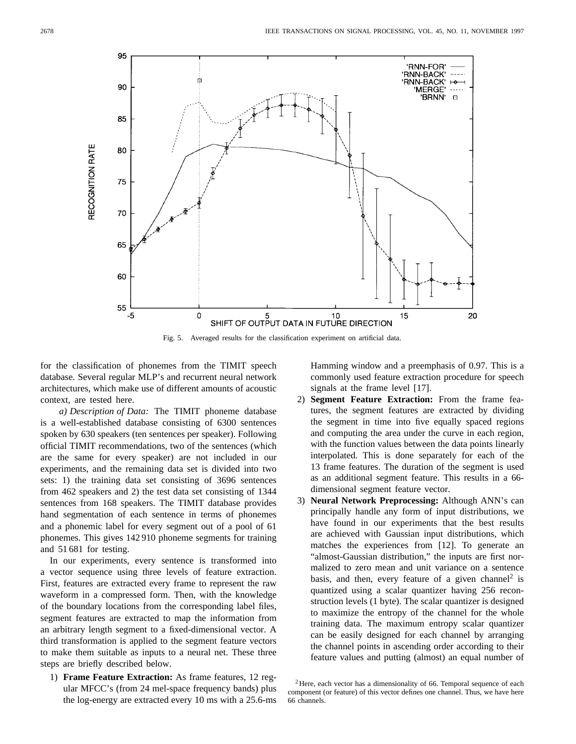

Fig. 5. Averaged results for the classification experiment on artificial data.

for the classification of phonemes from the TIMIT speech database. Several regular MLP's and recurrent neural network architectures, which make use of different amounts of acoustic context, are tested here.

*a) Description of Data:* The TIMIT phoneme database is a well-established database consisting of 6300 sentences spoken by 630 speakers (ten sentences per speaker). Following official TIMIT recommendations, two of the sentences (which are the same for every speaker) are not included in our experiments, and the remaining data set is divided into two sets: 1) the training data set consisting of 3696 sentences from 462 speakers and 2) the test data set consisting of 1344 sentences from 168 speakers. The TIMIT database provides hand segmentation of each sentence in terms of phonemes and a phonemic label for every segment out of a pool of 61 phonemes. This gives 142 910 phoneme segments for training and 51 681 for testing.

In our experiments, every sentence is transformed into a vector sequence using three levels of feature extraction. First, features are extracted every frame to represent the raw waveform in a compressed form. Then, with the knowledge of the boundary locations from the corresponding label files, segment features are extracted to map the information from an arbitrary length segment to a fixed-dimensional vector. A third transformation is applied to the segment feature vectors to make them suitable as inputs to a neural net. These three steps are briefly described below.

1) **Frame Feature Extraction:** As frame features, 12 regular MFCC's (from 24 mel-space frequency bands) plus the log-energy are extracted every 10 ms with a 25.6-ms Hamming window and a preemphasis of 0.97. This is a commonly used feature extraction procedure for speech signals at the frame level [17].

- 2) **Segment Feature Extraction:** From the frame features, the segment features are extracted by dividing the segment in time into five equally spaced regions and computing the area under the curve in each region, with the function values between the data points linearly interpolated. This is done separately for each of the 13 frame features. The duration of the segment is used as an additional segment feature. This results in a 66 dimensional segment feature vector.
- 3) **Neural Network Preprocessing:** Although ANN's can principally handle any form of input distributions, we have found in our experiments that the best results are achieved with Gaussian input distributions, which matches the experiences from [12]. To generate an "almost-Gaussian distribution," the inputs are first normalized to zero mean and unit variance on a sentence basis, and then, every feature of a given channel<sup>2</sup> is quantized using a scalar quantizer having 256 reconstruction levels (1 byte). The scalar quantizer is designed to maximize the entropy of the channel for the whole training data. The maximum entropy scalar quantizer can be easily designed for each channel by arranging the channel points in ascending order according to their feature values and putting (almost) an equal number of

 $2$ Here, each vector has a dimensionality of 66. Temporal sequence of each component (or feature) of this vector defines one channel. Thus, we have here 66 channels.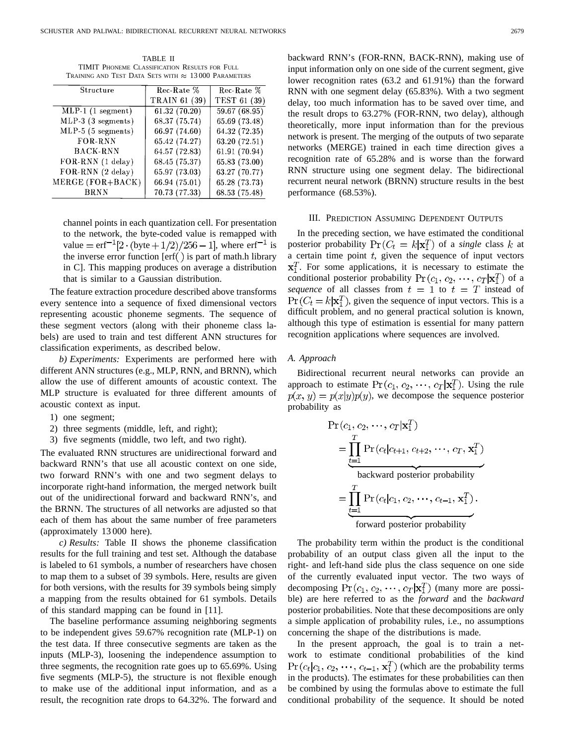TABLE II TIMIT PHONEME CLASSIFICATION RESULTS FOR FULL TRAINING AND TEST DATA SETS WITH  $\approx~13\,000$  PARAMETERS

| Structure                             | Rec-Rate %    | Rec-Rate %    |
|---------------------------------------|---------------|---------------|
|                                       | TRAIN 61 (39) | TEST 61 (39)  |
| $\overline{\text{MLP-1}}$ (1 segment) | 61.32(70.20)  | 59.67 (68.95) |
| MLP-3 (3 segments)                    | 68.37 (75.74) | 65.69 (73.48) |
| $MLP-5$ (5 segments)                  | 66.97 (74.60) | 64.32 (72.35) |
| FOR-RNN                               | 65.42 (74.27) | 63.20 (72.51) |
| <b>BACK-RNN</b>                       | 64.57 (72.83) | 61.91 (70.94) |
| FOR-RNN (1 delay)                     | 68.45 (75.37) | 65.83 (73.00) |
| FOR-RNN (2 delay)                     | 65.97 (73.03) | 63.27 (70.77) |
| MERGE (FOR+BACK)                      | 66.94 (75.01) | 65.28 (73.73) |
| <b>BRNN</b>                           | 70.73 (77.33) | 68.53 (75.48) |

channel points in each quantization cell. For presentation to the network, the byte-coded value is remapped with value =  $erf^{-1}[2 \cdot (byte + 1/2)/256 - 1]$ , where  $erf^{-1}$  is the inverse error function  $[erf()]$  is part of math.h library in C]. This mapping produces on average a distribution that is similar to a Gaussian distribution.

The feature extraction procedure described above transforms every sentence into a sequence of fixed dimensional vectors representing acoustic phoneme segments. The sequence of these segment vectors (along with their phoneme class labels) are used to train and test different ANN structures for classification experiments, as described below.

*b) Experiments:* Experiments are performed here with different ANN structures (e.g., MLP, RNN, and BRNN), which allow the use of different amounts of acoustic context. The MLP structure is evaluated for three different amounts of acoustic context as input.

- 1) one segment;
- 2) three segments (middle, left, and right);
- 3) five segments (middle, two left, and two right).

The evaluated RNN structures are unidirectional forward and backward RNN's that use all acoustic context on one side, two forward RNN's with one and two segment delays to incorporate right-hand information, the merged network built out of the unidirectional forward and backward RNN's, and the BRNN. The structures of all networks are adjusted so that each of them has about the same number of free parameters (approximately 13 000 here).

*c) Results:* Table II shows the phoneme classification results for the full training and test set. Although the database is labeled to 61 symbols, a number of researchers have chosen to map them to a subset of 39 symbols. Here, results are given for both versions, with the results for 39 symbols being simply a mapping from the results obtained for 61 symbols. Details of this standard mapping can be found in [11].

The baseline performance assuming neighboring segments to be independent gives 59.67% recognition rate (MLP-1) on the test data. If three consecutive segments are taken as the inputs (MLP-3), loosening the independence assumption to three segments, the recognition rate goes up to 65.69%. Using five segments (MLP-5), the structure is not flexible enough to make use of the additional input information, and as a result, the recognition rate drops to 64.32%. The forward and backward RNN's (FOR-RNN, BACK-RNN), making use of input information only on one side of the current segment, give lower recognition rates (63.2 and 61.91%) than the forward RNN with one segment delay (65.83%). With a two segment delay, too much information has to be saved over time, and the result drops to 63.27% (FOR-RNN, two delay), although theoretically, more input information than for the previous network is present. The merging of the outputs of two separate networks (MERGE) trained in each time direction gives a recognition rate of 65.28% and is worse than the forward RNN structure using one segment delay. The bidirectional recurrent neural network (BRNN) structure results in the best performance (68.53%).

### III. PREDICTION ASSUMING DEPENDENT OUTPUTS

In the preceding section, we have estimated the conditional posterior probability  $Pr(C_t = k | \mathbf{x}_1^T)$  of a *single* class k at a certain time point  $t$ , given the sequence of input vectors  $x_1^T$ . For some applications, it is necessary to estimate the conditional posterior probability  $Pr(c_1, c_2, \dots, c_T | \mathbf{x}_1^T)$  of a *sequence* of all classes from  $t = 1$  to  $t = T$  instead of  $\Pr(C_t = k | \mathbf{x}_1^T)$ , given the sequence of input vectors. This is a difficult problem, and no general practical solution is known, although this type of estimation is essential for many pattern recognition applications where sequences are involved.

#### *A. Approach*

Bidirectional recurrent neural networks can provide an approach to estimate  $Pr(c_1, c_2, \dots, c_T | \mathbf{x}_1^T)$ . Using the rule  $p(x, y) = p(x|y)p(y)$ , we decompose the sequence posterior probability as

$$
Pr(c_1, c_2, \dots, c_T | x_1^T)
$$
\n
$$
= \prod_{t=1}^T Pr(c_t | c_{t+1}, c_{t+2}, \dots, c_T, x_1^T)
$$
\n
$$
= \prod_{t=1}^T Pr(c_t | c_1, c_2, \dots, c_{t-1}, x_1^T).
$$
\n
$$
= \boxed{\prod_{t=1}^T Pr(c_t | c_1, c_2, \dots, c_{t-1}, x_1^T).
$$
\n
$$
= \boxed{\prod_{t=1}^T Pr(c_t | c_1, c_2, \dots, c_{t-1}, x_1^T)}.
$$

The probability term within the product is the conditional probability of an output class given all the input to the right- and left-hand side plus the class sequence on one side of the currently evaluated input vector. The two ways of decomposing  $Pr(c_1, c_2, \dots, c_T | \mathbf{x}_1^T)$  (many more are possible) are here referred to as the *forward* and the *backward* posterior probabilities. Note that these decompositions are only a simple application of probability rules, i.e., no assumptions concerning the shape of the distributions is made.

In the present approach, the goal is to train a network to estimate conditional probabilities of the kind  $\Pr(c_t|c_1, c_2, \cdots, c_{t-1}, \mathbf{x}_1^T)$  (which are the probability terms in the products). The estimates for these probabilities can then be combined by using the formulas above to estimate the full conditional probability of the sequence. It should be noted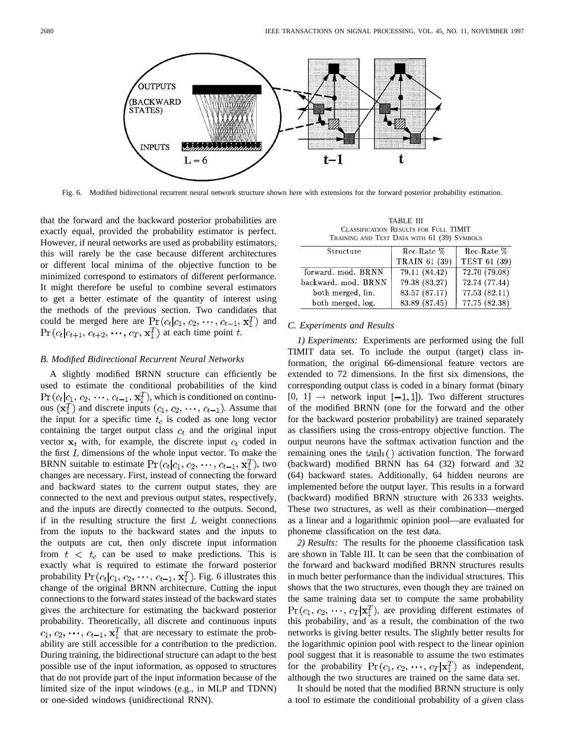

Fig. 6. Modified bidirectional recurrent neural network structure shown here with extensions for the forward posterior probability estimation.

that the forward and the backward posterior probabilities are exactly equal, provided the probability estimator is perfect. However, if neural networks are used as probability estimators, this will rarely be the case because different architectures or different local minima of the objective function to be minimized correspond to estimators of different performance. It might therefore be useful to combine several estimators to get a better estimate of the quantity of interest using the methods of the previous section. Two candidates that could be merged here are  $Pr(c_t|c_1, c_2, \dots, c_{t-1}, \mathbf{x}_1^T)$  and  $Pr(c_t|c_{t+1}, c_{t+2}, \dots, c_T, \mathbf{x}_1^T)$  at each time point t.

#### *B. Modified Bidirectional Recurrent Neural Networks*

A slightly modified BRNN structure can efficiently be used to estimate the conditional probabilities of the kind  $Pr(c_t|c_1, c_2, \dots, c_{t-1}, \mathbf{x}_1^T)$ , which is conditioned on continuous  $(\mathbf{x}_1^T)$  and discrete inputs  $(c_1, c_2, \dots, c_{t-1})$ . Assume that the input for a specific time  $t_c$  is coded as one long vector containing the target output class  $c_t$  and the original input vector  $x_t$  with, for example, the discrete input  $c_t$  coded in the first  $L$  dimensions of the whole input vector. To make the BRNN suitable to estimate  $Pr(c_t|c_1, c_2, \dots, c_{t-1}, \mathbf{x}_1^T)$ , two changes are necessary. First, instead of connecting the forward and backward states to the current output states, they are connected to the next and previous output states, respectively, and the inputs are directly connected to the outputs. Second, if in the resulting structure the first  $L$  weight connections from the inputs to the backward states and the inputs to the outputs are cut, then only discrete input information from  $t < t_c$  can be used to make predictions. This is exactly what is required to estimate the forward posterior probability  $Pr(c_t|c_1, c_2, \dots, c_{t-1}, \mathbf{x}_1^T)$ . Fig. 6 illustrates this change of the original BRNN architecture. Cutting the input connections to the forward states instead of the backward states gives the architecture for estimating the backward posterior probability. Theoretically, all discrete and continuous inputs  $c_1, c_2, \dots, c_{t-1}, \mathbf{x}_1^T$  that are necessary to estimate the probability are still accessible for a contribution to the prediction. During training, the bidirectional structure can adapt to the best possible use of the input information, as opposed to structures that do not provide part of the input information because of the limited size of the input windows (e.g., in MLP and TDNN) or one-sided windows (unidirectional RNN).

TABLE III CLASSIFICATION RESULTS FOR FULL TIMIT TRAINING AND TEST DATA WITH 61 (39) SYMBOLS

| Structure           | Rec-Rate %           | Rec-Rate %    |
|---------------------|----------------------|---------------|
|                     | <b>TRAIN 61 (39)</b> | TEST 61 (39)  |
| forward. mod. BRNN  | 79.11 (84.42)        | 72.70 (79.08) |
| backward. mod. BRNN | 79.38 (83.27)        | 72.74 (77.44) |
| both merged, lin.   | 83.57 (87.17)        | 77.53 (82.11) |
| both merged, log.   | 83.89 (87.45)        | 77.75 (82.38) |

# *C. Experiments and Results*

*1) Experiments:* Experiments are performed using the full TIMIT data set. To include the output (target) class information, the original 66-dimensional feature vectors are extended to 72 dimensions. In the first six dimensions, the corresponding output class is coded in a binary format (binary  $[0, 1] \rightarrow$  network input  $[-1, 1]$ ). Two different structures of the modified BRNN (one for the forward and the other for the backward posterior probability) are trained separately as classifiers using the cross-entropy objective function. The output neurons have the softmax activation function and the remaining ones the  $tanh()$  activation function. The forward (backward) modified BRNN has 64 (32) forward and 32 (64) backward states. Additionally, 64 hidden neurons are implemented before the output layer. This results in a forward (backward) modified BRNN structure with 26 333 weights. These two structures, as well as their combination—merged as a linear and a logarithmic opinion pool—are evaluated for phoneme classification on the test data.

*2) Results:* The results for the phoneme classification task are shown in Table III. It can be seen that the combination of the forward and backward modified BRNN structures results in much better performance than the individual structures. This shows that the two structures, even though they are trained on the same training data set to compute the same probability  $\Pr(c_1, c_2, \dots, c_T | \mathbf{x}_1^T)$ , are providing different estimates of this probability, and as a result, the combination of the two networks is giving better results. The slightly better results for the logarithmic opinion pool with respect to the linear opinion pool suggest that it is reasonable to assume the two estimates for the probability  $Pr(c_1, c_2, \dots, c_T | x_1^T)$  as independent, although the two structures are trained on the same data set.

It should be noted that the modified BRNN structure is only a tool to estimate the conditional probability of a *given* class